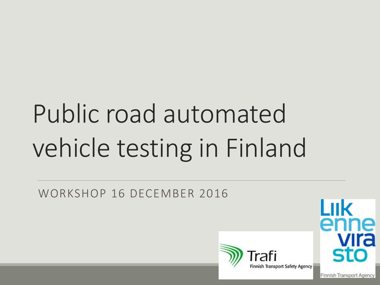# Public road automated vehicle testing in Finland

WORKSHOP 16 DECEMBER 2016



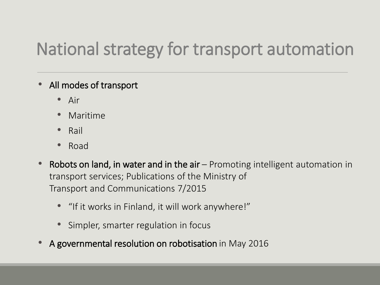# National strategy for transport automation

- All modes of transport
	- Air
	- Maritime
	- Rail
	- Road
- Robots on land, in water and in the air Promoting intelligent automation in transport services; Publications of the Ministry of Transport and Communications 7/2015
	- "If it works in Finland, it will work anywhere!"
	- Simpler, smarter regulation in focus
- A governmental resolution on robotisation in May 2016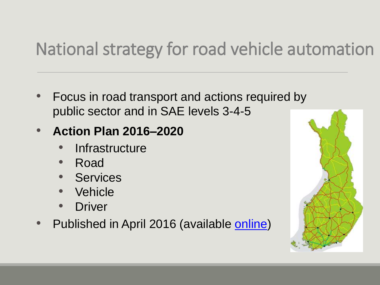# National strategy for road vehicle automation

• Focus in road transport and actions required by public sector and in SAE levels 3-4-5

#### • **Action Plan 2016–2020**

- Infrastructure
- Road
- **Services**
- **Vehicle**
- Driver
- Published in April 2016 (available [online](http://www2.liikennevirasto.fi/julkaisut/pdf8/lts_2016-19eng_road_transport_web.pdf))

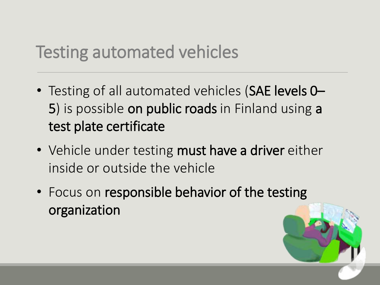#### Testing automated vehicles

- Testing of all automated vehicles (SAE levels 0– 5) is possible on public roads in Finland using a test plate certificate
- Vehicle under testing must have a driver either inside or outside the vehicle
- Focus on responsible behavior of the testing organization

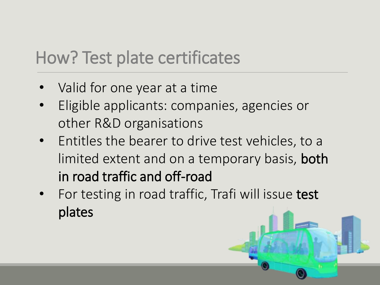### How? Test plate certificates

- Valid for one year at a time
- Eligible applicants: companies, agencies or other R&D organisations
- Entitles the bearer to drive test vehicles, to a limited extent and on a temporary basis, both in road traffic and off-road
- For testing in road traffic, Trafi will issue test plates

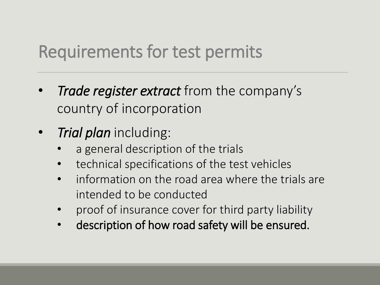### Requirements for test permits

- *Trade register extract* from the company's country of incorporation
- *Trial plan* including:
	- a general description of the trials
	- technical specifications of the test vehicles
	- information on the road area where the trials are intended to be conducted
	- proof of insurance cover for third party liability
	- description of how road safety will be ensured.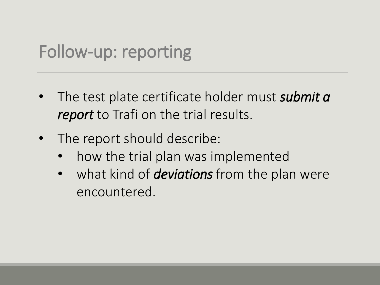#### Follow-up: reporting

- The test plate certificate holder must *submit a report* to Trafi on the trial results.
- The report should describe:
	- how the trial plan was implemented
	- what kind of *deviations* from the plan were encountered.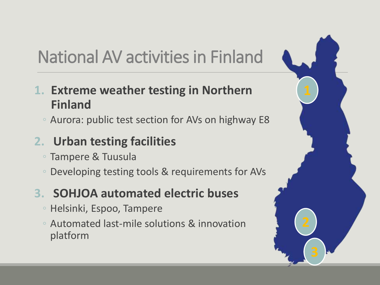# National AV activities in Finland

- **1. Extreme weather testing in Northern Finland**
	- Aurora: public test section for AVs on highway E8

#### **2. Urban testing facilities**

- Tampere & Tuusula
- Developing testing tools & requirements for AVs

#### **3. SOHJOA automated electric buses**

- Helsinki, Espoo, Tampere
- Automated last-mile solutions & innovation platform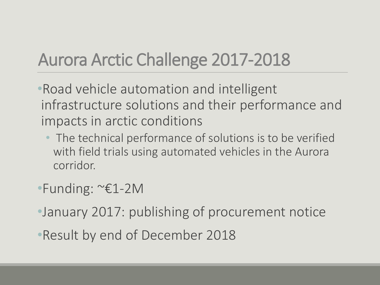# Aurora Arctic Challenge 2017-2018

- •Road vehicle automation and intelligent infrastructure solutions and their performance and impacts in arctic conditions
	- The technical performance of solutions is to be verified with field trials using automated vehicles in the Aurora corridor.
- •Funding: ~€1-2M
- •January 2017: publishing of procurement notice
- •Result by end of December 2018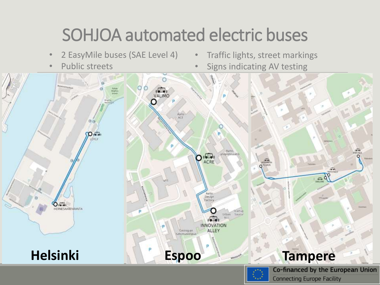### SOHJOA automated electric buses

- 2 EasyMile buses (SAE Level 4)
- Public streets
- Traffic lights, street markings
- Signs indicating AV testing

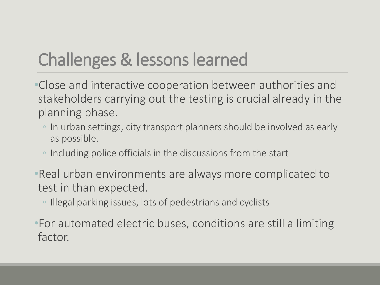# Challenges & lessons learned

- •Close and interactive cooperation between authorities and stakeholders carrying out the testing is crucial already in the planning phase.
	- In urban settings, city transport planners should be involved as early as possible.
	- Including police officials in the discussions from the start
- •Real urban environments are always more complicated to test in than expected.
	- Illegal parking issues, lots of pedestrians and cyclists
- •For automated electric buses, conditions are still a limiting factor.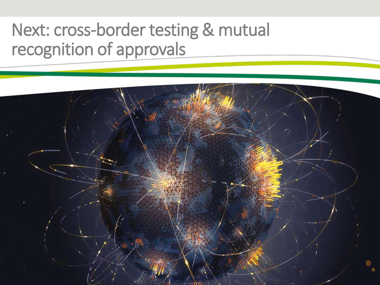#### Next: cross-border testing & mutual recognition of approvals